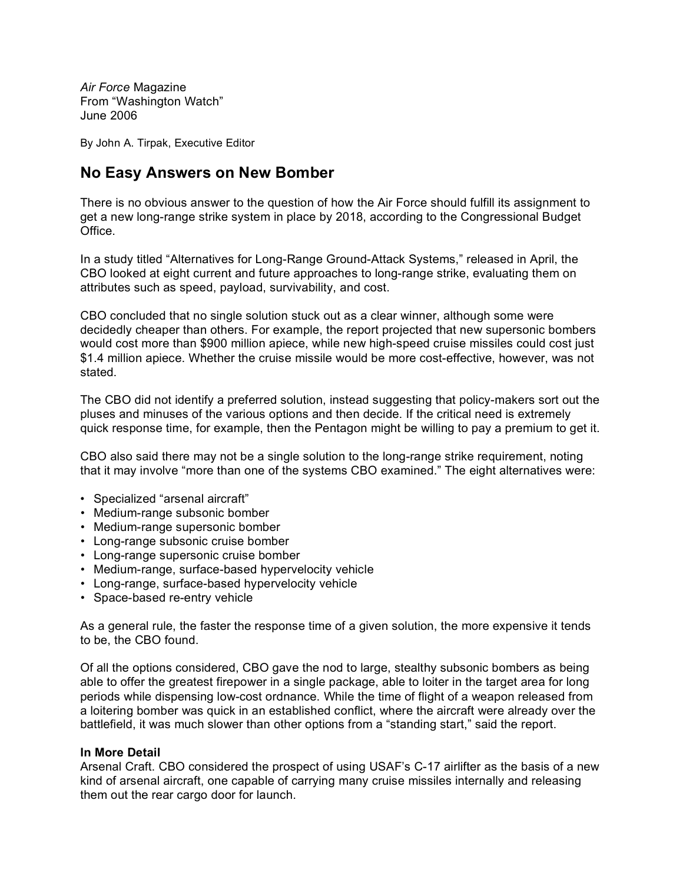*Air Force* Magazine From "Washington Watch" June 2006

By John A. Tirpak, Executive Editor

## **No Easy Answers on New Bomber**

There is no obvious answer to the question of how the Air Force should fulfill its assignment to get a new long-range strike system in place by 2018, according to the Congressional Budget **Office** 

In a study titled "Alternatives for Long-Range Ground-Attack Systems," released in April, the CBO looked at eight current and future approaches to long-range strike, evaluating them on attributes such as speed, payload, survivability, and cost.

CBO concluded that no single solution stuck out as a clear winner, although some were decidedly cheaper than others. For example, the report projected that new supersonic bombers would cost more than \$900 million apiece, while new high-speed cruise missiles could cost just \$1.4 million apiece. Whether the cruise missile would be more cost-effective, however, was not stated.

The CBO did not identify a preferred solution, instead suggesting that policy-makers sort out the pluses and minuses of the various options and then decide. If the critical need is extremely quick response time, for example, then the Pentagon might be willing to pay a premium to get it.

CBO also said there may not be a single solution to the long-range strike requirement, noting that it may involve "more than one of the systems CBO examined." The eight alternatives were:

- Specialized "arsenal aircraft"
- Medium-range subsonic bomber
- Medium-range supersonic bomber
- Long-range subsonic cruise bomber
- Long-range supersonic cruise bomber
- Medium-range, surface-based hypervelocity vehicle
- Long-range, surface-based hypervelocity vehicle
- Space-based re-entry vehicle

As a general rule, the faster the response time of a given solution, the more expensive it tends to be, the CBO found.

Of all the options considered, CBO gave the nod to large, stealthy subsonic bombers as being able to offer the greatest firepower in a single package, able to loiter in the target area for long periods while dispensing low-cost ordnance. While the time of flight of a weapon released from a loitering bomber was quick in an established conflict, where the aircraft were already over the battlefield, it was much slower than other options from a "standing start," said the report.

## **In More Detail**

Arsenal Craft. CBO considered the prospect of using USAF's C-17 airlifter as the basis of a new kind of arsenal aircraft, one capable of carrying many cruise missiles internally and releasing them out the rear cargo door for launch.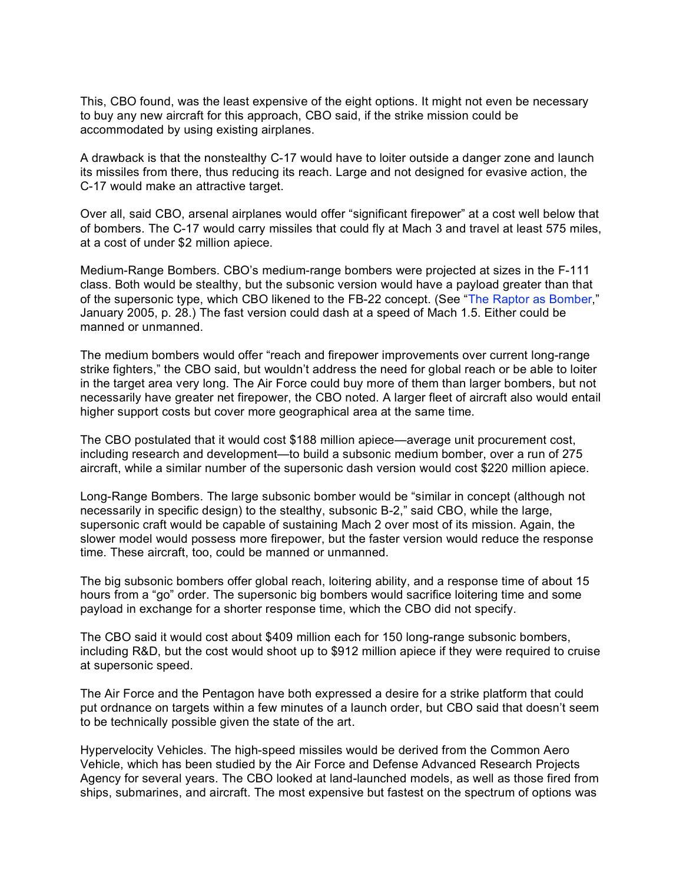This, CBO found, was the least expensive of the eight options. It might not even be necessary to buy any new aircraft for this approach, CBO said, if the strike mission could be accommodated by using existing airplanes.

A drawback is that the nonstealthy C-17 would have to loiter outside a danger zone and launch its missiles from there, thus reducing its reach. Large and not designed for evasive action, the C-17 would make an attractive target.

Over all, said CBO, arsenal airplanes would offer "significant firepower" at a cost well below that of bombers. The C-17 would carry missiles that could fly at Mach 3 and travel at least 575 miles, at a cost of under \$2 million apiece.

Medium-Range Bombers. CBO's medium-range bombers were projected at sizes in the F-111 class. Both would be stealthy, but the subsonic version would have a payload greater than that of the supersonic type, which CBO likened to the FB-22 concept. (See "The Raptor as Bomber," January 2005, p. 28.) The fast version could dash at a speed of Mach 1.5. Either could be manned or unmanned.

The medium bombers would offer "reach and firepower improvements over current long-range strike fighters," the CBO said, but wouldn't address the need for global reach or be able to loiter in the target area very long. The Air Force could buy more of them than larger bombers, but not necessarily have greater net firepower, the CBO noted. A larger fleet of aircraft also would entail higher support costs but cover more geographical area at the same time.

The CBO postulated that it would cost \$188 million apiece—average unit procurement cost, including research and development—to build a subsonic medium bomber, over a run of 275 aircraft, while a similar number of the supersonic dash version would cost \$220 million apiece.

Long-Range Bombers. The large subsonic bomber would be "similar in concept (although not necessarily in specific design) to the stealthy, subsonic B-2," said CBO, while the large, supersonic craft would be capable of sustaining Mach 2 over most of its mission. Again, the slower model would possess more firepower, but the faster version would reduce the response time. These aircraft, too, could be manned or unmanned.

The big subsonic bombers offer global reach, loitering ability, and a response time of about 15 hours from a "go" order. The supersonic big bombers would sacrifice loitering time and some payload in exchange for a shorter response time, which the CBO did not specify.

The CBO said it would cost about \$409 million each for 150 long-range subsonic bombers, including R&D, but the cost would shoot up to \$912 million apiece if they were required to cruise at supersonic speed.

The Air Force and the Pentagon have both expressed a desire for a strike platform that could put ordnance on targets within a few minutes of a launch order, but CBO said that doesn't seem to be technically possible given the state of the art.

Hypervelocity Vehicles. The high-speed missiles would be derived from the Common Aero Vehicle, which has been studied by the Air Force and Defense Advanced Research Projects Agency for several years. The CBO looked at land-launched models, as well as those fired from ships, submarines, and aircraft. The most expensive but fastest on the spectrum of options was